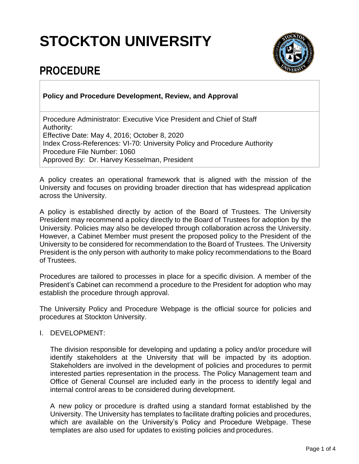# **STOCKTON UNIVERSITY**



# **PROCEDURE**

## **Policy and Procedure Development, Review, and Approval**

Procedure Administrator: Executive Vice President and Chief of Staff Authority: Effective Date: May 4, 2016; October 8, 2020 Index Cross-References: VI-70: University Policy and Procedure Authority Procedure File Number: 1060 Approved By: Dr. Harvey Kesselman, President

A policy creates an operational framework that is aligned with the mission of the University and focuses on providing broader direction that has widespread application across the University.

A policy is established directly by action of the Board of Trustees. The University President may recommend a policy directly to the Board of Trustees for adoption by the University. Policies may also be developed through collaboration across the University. However, a Cabinet Member must present the proposed policy to the President of the University to be considered for recommendation to the Board of Trustees. The University President is the only person with authority to make policy recommendations to the Board of Trustees.

Procedures are tailored to processes in place for a specific division. A member of the President's Cabinet can recommend a procedure to the President for adoption who may establish the procedure through approval.

The University Policy and Procedure Webpage is the official source for policies and procedures at Stockton University.

### I. DEVELOPMENT:

The division responsible for developing and updating a policy and/or procedure will identify stakeholders at the University that will be impacted by its adoption. Stakeholders are involved in the development of policies and procedures to permit interested parties representation in the process. The Policy Management team and Office of General Counsel are included early in the process to identify legal and internal control areas to be considered during development.

A new policy or procedure is drafted using a standard format established by the University. The University has templates to facilitate drafting policies and procedures, which are available on the University's Policy and Procedure Webpage. These templates are also used for updates to existing policies and procedures.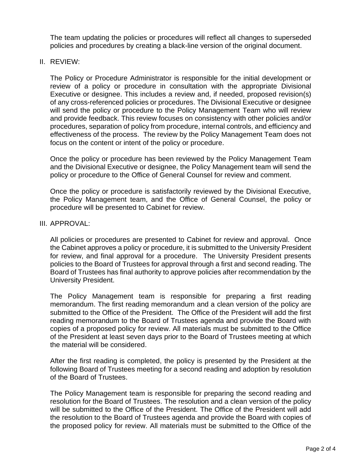The team updating the policies or procedures will reflect all changes to superseded policies and procedures by creating a black-line version of the original document.

#### II. REVIEW:

The Policy or Procedure Administrator is responsible for the initial development or review of a policy or procedure in consultation with the appropriate Divisional Executive or designee. This includes a review and, if needed, proposed revision(s) of any cross-referenced policies or procedures. The Divisional Executive or designee will send the policy or procedure to the Policy Management Team who will review and provide feedback. This review focuses on consistency with other policies and/or procedures, separation of policy from procedure, internal controls, and efficiency and effectiveness of the process. The review by the Policy Management Team does not focus on the content or intent of the policy or procedure.

Once the policy or procedure has been reviewed by the Policy Management Team and the Divisional Executive or designee, the Policy Management team will send the policy or procedure to the Office of General Counsel for review and comment.

Once the policy or procedure is satisfactorily reviewed by the Divisional Executive, the Policy Management team, and the Office of General Counsel, the policy or procedure will be presented to Cabinet for review.

#### III. APPROVAL:

All policies or procedures are presented to Cabinet for review and approval. Once the Cabinet approves a policy or procedure, it is submitted to the University President for review, and final approval for a procedure. The University President presents policies to the Board of Trustees for approval through a first and second reading. The Board of Trustees has final authority to approve policies after recommendation by the University President.

The Policy Management team is responsible for preparing a first reading memorandum. The first reading memorandum and a clean version of the policy are submitted to the Office of the President. The Office of the President will add the first reading memorandum to the Board of Trustees agenda and provide the Board with copies of a proposed policy for review. All materials must be submitted to the Office of the President at least seven days prior to the Board of Trustees meeting at which the material will be considered.

After the first reading is completed, the policy is presented by the President at the following Board of Trustees meeting for a second reading and adoption by resolution of the Board of Trustees.

The Policy Management team is responsible for preparing the second reading and resolution for the Board of Trustees. The resolution and a clean version of the policy will be submitted to the Office of the President. The Office of the President will add the resolution to the Board of Trustees agenda and provide the Board with copies of the proposed policy for review. All materials must be submitted to the Office of the